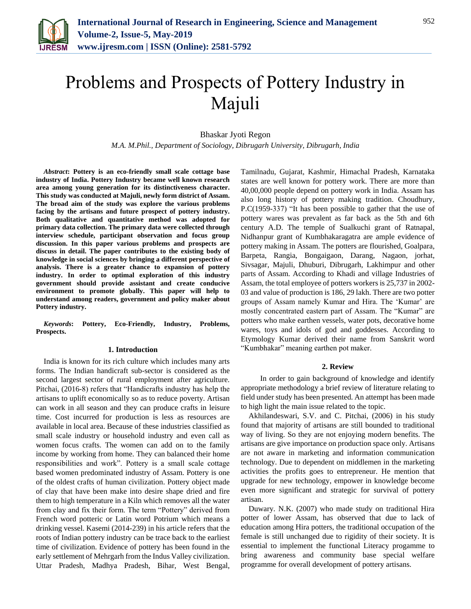

# Problems and Prospects of Pottery Industry in Majuli

Bhaskar Jyoti Regon

*M.A. M.Phil., Department of Sociology, Dibrugarh University, Dibrugarh, India*

*Abstract***: Pottery is an eco-friendly small scale cottage base industry of India. Pottery Industry became well known research area among young generation for its distinctiveness character. This study was conducted at Majuli, newly form district of Assam. The broad aim of the study was explore the various problems facing by the artisans and future prospect of pottery industry. Both qualitative and quantitative method was adopted for primary data collection. The primary data were collected through interview schedule, participant observation and focus group discussion. In this paper various problems and prospects are discuss in detail. The paper contributes to the existing body of knowledge in social sciences by bringing a different perspective of analysis. There is a greater chance to expansion of pottery industry. In order to optimal exploration of this industry government should provide assistant and create conducive environment to promote globally. This paper will help to understand among readers, government and policy maker about Pottery industry.**

*Keywords***: Pottery, Eco-Friendly, Industry, Problems, Prospects.**

#### **1. Introduction**

India is known for its rich culture which includes many arts forms. The Indian handicraft sub-sector is considered as the second largest sector of rural employment after agriculture. Pitchai, (2016-8) refers that "Handicrafts industry has help the artisans to uplift economically so as to reduce poverty. Artisan can work in all season and they can produce crafts in leisure time. Cost incurred for production is less as resources are available in local area. Because of these industries classified as small scale industry or household industry and even call as women focus crafts. The women can add on to the family income by working from home. They can balanced their home responsibilities and work". Pottery is a small scale cottage based women predominated industry of Assam. Pottery is one of the oldest crafts of human civilization. Pottery object made of clay that have been make into desire shape dried and fire them to high temperature in a Kiln which removes all the water from clay and fix their form. The term "Pottery" derived from French word potteric or Latin word Potrium which means a drinking vessel. Kasemi (2014-239) in his article refers that the roots of Indian pottery industry can be trace back to the earliest time of civilization. Evidence of pottery has been found in the early settlement of Mehrgarh from the Indus Valley civilization. Uttar Pradesh, Madhya Pradesh, Bihar, West Bengal,

Tamilnadu, Gujarat, Kashmir, Himachal Pradesh, Karnataka states are well known for pottery work. There are more than 40,00,000 people depend on pottery work in India. Assam has also long history of pottery making tradition. Choudhury, P.C(1959-337) "It has been possible to gather that the use of pottery wares was prevalent as far back as the 5th and 6th century A.D. The temple of Sualkuchi grant of Ratnapal, Nidhanpur grant of Kumbhakaragatra are ample evidence of pottery making in Assam. The potters are flourished, Goalpara, Barpeta, Rangia, Bongaigaon, Darang, Nagaon, jorhat, Sivsagar, Majuli, Dhuburi, Dibrugarh, Lakhimpur and other parts of Assam. According to Khadi and village Industries of Assam, the total employee of potters workers is 25,737 in 2002- 03 and value of production is 186, 29 lakh. There are two potter groups of Assam namely Kumar and Hira. The 'Kumar' are mostly concentrated eastern part of Assam. The "Kumar" are potters who make earthen vessels, water pots, decorative home wares, toys and idols of god and goddesses. According to Etymology Kumar derived their name from Sanskrit word "Kumbhakar" meaning earthen pot maker.

#### **2. Review**

 In order to gain background of knowledge and identify appropriate methodology a brief review of literature relating to field under study has been presented. An attempt has been made to high light the main issue related to the topic.

Akhilandeswari, S.V. and C. Pitchai, (2006) in his study found that majority of artisans are still bounded to traditional way of living. So they are not enjoying modern benefits. The artisans are give importance on production space only. Artisans are not aware in marketing and information communication technology. Due to dependent on middlemen in the marketing activities the profits goes to entrepreneur. He mention that upgrade for new technology, empower in knowledge become even more significant and strategic for survival of pottery artisan.

Duwary. N.K. (2007) who made study on traditional Hira potter of lower Assam, has observed that due to lack of education among Hira potters, the traditional occupation of the female is still unchanged due to rigidity of their society. It is essential to implement the functional Literacy progamme to bring awareness and community base special welfare programme for overall development of pottery artisans.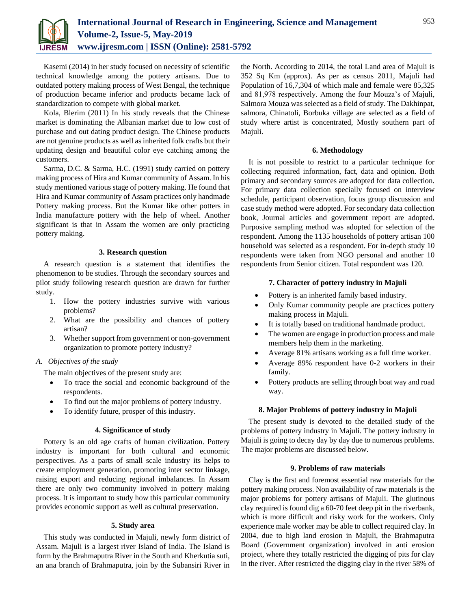

Kasemi (2014) in her study focused on necessity of scientific technical knowledge among the pottery artisans. Due to outdated pottery making process of West Bengal, the technique of production became inferior and products became lack of standardization to compete with global market.

Kola, Blerim (2011) In his study reveals that the Chinese market is dominating the Albanian market due to low cost of purchase and out dating product design. The Chinese products are not genuine products as well as inherited folk crafts but their updating design and beautiful color eye catching among the customers.

Sarma, D.C. & Sarma, H.C. (1991) study carried on pottery making process of Hira and Kumar community of Assam. In his study mentioned various stage of pottery making. He found that Hira and Kumar community of Assam practices only handmade Pottery making process. But the Kumar like other potters in India manufacture pottery with the help of wheel. Another significant is that in Assam the women are only practicing pottery making.

# **3. Research question**

A research question is a statement that identifies the phenomenon to be studies. Through the secondary sources and pilot study following research question are drawn for further study.

- 1. How the pottery industries survive with various problems?
- 2. What are the possibility and chances of pottery artisan?
- 3. Whether support from government or non-government organization to promote pottery industry?
- *A. Objectives of the study*

The main objectives of the present study are:

- To trace the social and economic background of the respondents.
- To find out the major problems of pottery industry.
- To identify future, prosper of this industry.

#### **4. Significance of study**

Pottery is an old age crafts of human civilization. Pottery industry is important for both cultural and economic perspectives. As a parts of small scale industry its helps to create employment generation, promoting inter sector linkage, raising export and reducing regional imbalances. In Assam there are only two community involved in pottery making process. It is important to study how this particular community provides economic support as well as cultural preservation.

# **5. Study area**

This study was conducted in Majuli, newly form district of Assam. Majuli is a largest river Island of India. The Island is form by the Brahmaputra River in the South and Kherkutia suti, an ana branch of Brahmaputra, join by the Subansiri River in

the North. According to 2014, the total Land area of Majuli is 352 Sq Km (approx). As per as census 2011, Majuli had Population of 16,7,304 of which male and female were 85,325 and 81,978 respectively. Among the four Mouza's of Majuli, Salmora Mouza was selected as a field of study. The Dakhinpat, salmora, Chinatoli, Borbuka village are selected as a field of study where artist is concentrated, Mostly southern part of Majuli.

### **6. Methodology**

It is not possible to restrict to a particular technique for collecting required information, fact, data and opinion. Both primary and secondary sources are adopted for data collection. For primary data collection specially focused on interview schedule, participant observation, focus group discussion and case study method were adopted. For secondary data collection book, Journal articles and government report are adopted. Purposive sampling method was adopted for selection of the respondent. Among the 1135 households of pottery artisan 100 household was selected as a respondent. For in-depth study 10 respondents were taken from NGO personal and another 10 respondents from Senior citizen. Total respondent was 120.

# **7. Character of pottery industry in Majuli**

- Pottery is an inherited family based industry.
- Only Kumar community people are practices pottery making process in Majuli.
- It is totally based on traditional handmade product.
- The women are engage in production process and male members help them in the marketing.
- Average 81% artisans working as a full time worker.
- Average 89% respondent have 0-2 workers in their family.
- Pottery products are selling through boat way and road way.

# **8. Major Problems of pottery industry in Majuli**

The present study is devoted to the detailed study of the problems of pottery industry in Majuli. The pottery industry in Majuli is going to decay day by day due to numerous problems. The major problems are discussed below.

#### **9. Problems of raw materials**

Clay is the first and foremost essential raw materials for the pottery making process. Non availability of raw materials is the major problems for pottery artisans of Majuli. The glutinous clay required is found dig a 60-70 feet deep pit in the riverbank, which is more difficult and risky work for the workers. Only experience male worker may be able to collect required clay. In 2004, due to high land erosion in Majuli, the Brahmaputra Board (Government organization) involved in anti erosion project, where they totally restricted the digging of pits for clay in the river. After restricted the digging clay in the river 58% of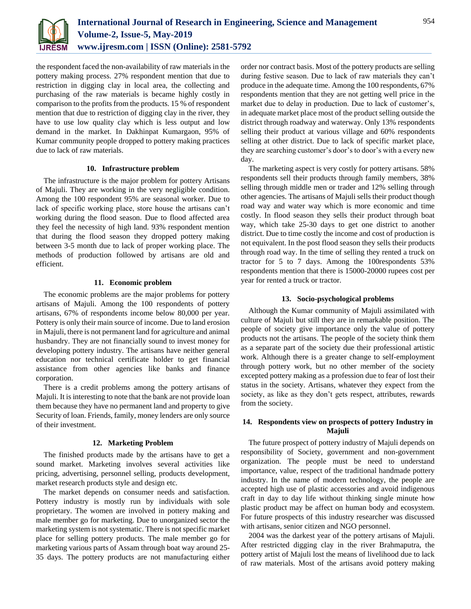

the respondent faced the non-availability of raw materials in the pottery making process. 27% respondent mention that due to restriction in digging clay in local area, the collecting and purchasing of the raw materials is became highly costly in comparison to the profits from the products. 15 % of respondent mention that due to restriction of digging clay in the river, they have to use low quality clay which is less output and low demand in the market. In Dakhinpat Kumargaon, 95% of Kumar community people dropped to pottery making practices due to lack of raw materials.

# **10. Infrastructure problem**

The infrastructure is the major problem for pottery Artisans of Majuli. They are working in the very negligible condition. Among the 100 respondent 95% are seasonal worker. Due to lack of specific working place, store house the artisans can't working during the flood season. Due to flood affected area they feel the necessity of high land. 93% respondent mention that during the flood season they dropped pottery making between 3-5 month due to lack of proper working place. The methods of production followed by artisans are old and efficient.

# **11. Economic problem**

The economic problems are the major problems for pottery artisans of Majuli. Among the 100 respondents of pottery artisans, 67% of respondents income below 80,000 per year. Pottery is only their main source of income. Due to land erosion in Majuli, there is not permanent land for agriculture and animal husbandry. They are not financially sound to invest money for developing pottery industry. The artisans have neither general education nor technical certificate holder to get financial assistance from other agencies like banks and finance corporation.

There is a credit problems among the pottery artisans of Majuli. It is interesting to note that the bank are not provide loan them because they have no permanent land and property to give Security of loan. Friends, family, money lenders are only source of their investment.

#### **12. Marketing Problem**

The finished products made by the artisans have to get a sound market. Marketing involves several activities like pricing, advertising, personnel selling, products development, market research products style and design etc.

The market depends on consumer needs and satisfaction. Pottery industry is mostly run by individuals with sole proprietary. The women are involved in pottery making and male member go for marketing. Due to unorganized sector the marketing system is not systematic. There is not specific market place for selling pottery products. The male member go for marketing various parts of Assam through boat way around 25- 35 days. The pottery products are not manufacturing either

order nor contract basis. Most of the pottery products are selling during festive season. Due to lack of raw materials they can't produce in the adequate time. Among the 100 respondents, 67% respondents mention that they are not getting well price in the market due to delay in production. Due to lack of customer's, in adequate market place most of the product selling outside the district through roadway and waterway. Only 13% respondents selling their product at various village and 60% respondents selling at other district. Due to lack of specific market place, they are searching customer's door's to door's with a every new day.

The marketing aspect is very costly for pottery artisans. 58% respondents sell their products through family members, 38% selling through middle men or trader and 12% selling through other agencies. The artisans of Majuli sells their product though road way and water way which is more economic and time costly. In flood season they sells their product through boat way, which take 25-30 days to get one district to another district. Due to time costly the income and cost of production is not equivalent. In the post flood season they sells their products through road way. In the time of selling they rented a truck on tractor for 5 to 7 days. Among the 100respondents 53% respondents mention that there is 15000-20000 rupees cost per year for rented a truck or tractor.

# **13. Socio-psychological problems**

Although the Kumar community of Majuli assimilated with culture of Majuli but still they are in remarkable position. The people of society give importance only the value of pottery products not the artisans. The people of the society think them as a separate part of the society due their professional artistic work. Although there is a greater change to self-employment through pottery work, but no other member of the society excepted pottery making as a profession due to fear of lost their status in the society. Artisans, whatever they expect from the society, as like as they don't gets respect, attributes, rewards from the society.

# **14. Respondents view on prospects of pottery Industry in Majuli**

The future prospect of pottery industry of Majuli depends on responsibility of Society, government and non-government organization. The people must be need to understand importance, value, respect of the traditional handmade pottery industry. In the name of modern technology, the people are accepted high use of plastic accessories and avoid indigenous craft in day to day life without thinking single minute how plastic product may be affect on human body and ecosystem. For future prospects of this industry researcher was discussed with artisans, senior citizen and NGO personnel.

2004 was the darkest year of the pottery artisans of Majuli. After restricted digging clay in the river Brahmaputra, the pottery artist of Majuli lost the means of livelihood due to lack of raw materials. Most of the artisans avoid pottery making